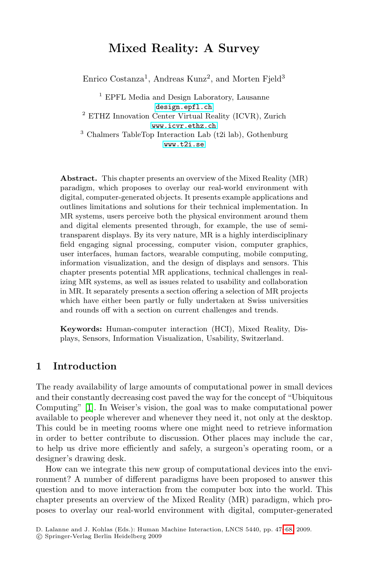# **[Mixed](www.icvr.ethz.ch) Reality: A Survey**

Enrico Costanza<sup>1</sup>, Andreas Kunz<sup>2</sup>, and Morten Fjeld<sup>3</sup>

<sup>1</sup> EPFL Media and Design Laboratory, Lausanne design.epfl.ch <sup>2</sup> ETHZ Innovation Center Virtual Reality (ICVR), Zurich www.icvr.ethz.ch <sup>3</sup> Chalmers TableTop Interaction Lab (t2i lab), Gothenburg www.t2i.se

**Abstract.** This chapter presents an overview of the Mixed Reality (MR) paradigm, which proposes to overlay our real-world environment with digital, computer-generated objects. It presents example applications and outlines limitations and solutions for their technical implementation. In MR systems, users perceive both the physical environment around them and digital elements presented through, for example, the use of semitransparent displays. By its very nature, MR is a highly interdisciplinary field engaging signal processing, computer vision, computer graphics, user interfaces, human factors, wearable computing, mobile computing, information visualization, and the design of displays and sensors. This chapter presents potential MR applications, technical challenges in realizing MR systems, as well as issues related to usability and collaboration in MR. It separately presents a section offering a selection of MR projects which have either been partly or fully undertaken at Swiss universities and rounds off with a section on current challenges and trends.

**Keywords:** Human-computer interaction (HCI), Mixed Reality, Displays, Sensors, Information Visualization, Usability, Switzerland.

# **1 Introduction**

The ready availability of large amounts of computational power in small devices and their constantly decreasing cost paved the way for the concept of "Ubiquitous Computing" [1]. In Weiser's vision, the goal was to make computational power available to people wherever and whenever they need it, not only at the desktop. This could be in meeting rooms where one might need to retrieve information in order to better contribute to discussion. Other places may include the car, to help us drive more efficiently and safely, a [sur](#page-21-0)geon's operating room, or a designer's drawing desk.

How can we integrate this new group of computational devices into the environment? A number of different paradigms have been proposed to answer this question and to move interaction from the computer box into the world. This chapter presents an overview of the Mixed Reality (MR) paradigm, which proposes to overlay our real-world environment with digital, computer-generated

D. Lalanne and J. Kohlas (Eds.): Human Machine Interaction, LNCS 5440, pp. 47–68, 2009.

<sup>-</sup>c Springer-Verlag Berlin Heidelberg 2009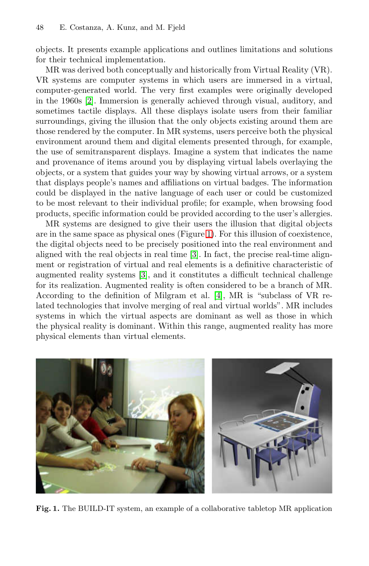objects. It presents example applications and outlines limitations and solutions for their technical implementation.

MR was derived both conceptually and historically from Virtual Reality (VR). VR systems are computer systems in which users are immersed in a virtual, computer-generated world. The very first examples were originally developed in the 1960s [2]. Immersion is generally achieved through visual, auditory, and sometimes tactile displays. All these displays isolate users from their familiar surroundings, giving the illusion that the only objects existing around them are those rendered by the computer. In MR systems, users perceive both the physical environment around them and digital elements presented through, for example, the use of semitransparen[t d](#page-1-0)isplays. Imagine a system that indicates the name and provenance of items around you by displaying virtual labels overlaying the objects, or a system th[at](#page-17-0) guides your way by showing virtual arrows, or a system that displays people's names and affiliations on virtual badges. The information could be [d](#page-17-0)isplayed in the native language of each user or could be customized to be most relevant to their individual profile; for example, when browsing food products, specific informatio[n c](#page-17-1)ould be provided according to the user's allergies.

MR systems are designed to give their users the illusion that digital objects are in the same space as physical ones (Figure 1). For this illusion of coexistence, the digital objects need to be precisely positioned into the real environment and aligned with the real objects in real time [3]. In fact, the precise real-time alignment or registration of virtual and real elements is a definitive characteristic of augmented reality systems [3], and it constitutes a difficult technical challenge for its realization. Augmented reality is often considered to be a branch of MR. According to the definition of Milgram et al. [4], MR is "subclass of VR related technologies that involve merging of real and virtual worlds". MR includes systems in which the virtual aspects are dominant as well as those in which the physical reality is dominant. Within this range, augmented reality has more physical elements than virtual elements.

<span id="page-1-0"></span>

**Fig. 1.** The BUILD-IT system, an example of a collaborative tabletop MR application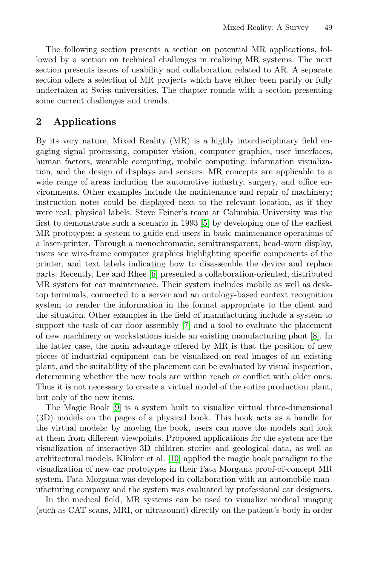The following section presents a section on potential MR applications, followed by a section on technical challenges in realizing MR systems. The next section presents issues of usability and collaboration related to AR. A separate section offers a selection of MR projects which have either been partly or fully undertaken at Swiss universities. The chapter rounds with a section presenting some current challenges and trends.

# **2 Applications**

By its very nature, Mixe[d](#page-17-2) Reality (MR) is a highly interdisciplinary field engaging signal processing, computer vision, computer graphics, user interfaces, human factors, wearable computing, mobile computing, information visualization, and the design of displays and sensors. MR concepts are applicable to a wide range of areas including the automotive industry, surgery, and office environments[. O](#page-17-3)ther examples include the maintenance and repair of machinery; instruction notes could be displayed next to the relevant location, as if they were real, physical labels. Steve Feiner's team at Columbia University was the first to demonstrate such a scenario in 1993 [5] by developing one of the earliest MR prototypes: a system to guide end-users in basic maintenance operations of a laser-printer. Thro[ug](#page-17-4)h a monochromatic, semitransparent, head-worn display, users see wire-frame computer graphics highlighting s[pec](#page-17-5)ific components of the printer, and text labels indicating how to disassemble the device and replace parts. Recently, Lee and Rhee [6] presented a collaboration-oriented, distributed MR system for car maintenance. Their system includes mobile as well as desktop terminals, connected to a server and an ontology-based context recognition system to render the information in the format appropriate to the client and the situation. Other examples in the field of manufacturing include a system to s[upp](#page-17-6)ort the task of car door assembly [7] and a tool to evaluate the placement of new machinery or workstations inside an existing manufacturing plant [8]. In the latter case, the main advantage offered by MR is that the position of new pieces of industrial equipment can be visualized on real images of an existing plant, and the suitability of the placement can be evaluated by visual inspection, determining whe[the](#page-18-0)r the new tools are within reach or conflict with older ones. Thus it is not necessary to create a virtual model of the entire production plant, but only of the new items.

The Magic Book [9] is a system built to visualize virtual three-dimensional (3D) models on the pages of a physical book. This book acts as a handle for the virtual models: by moving the book, users can move the models and look at them from different viewpoints. Proposed applications for the system are the visualization of interactive 3D children stories and geological data, as well as architectural models. Klinker et al. [10] applied the magic book paradigm to the visualization of new car prototypes in their Fata Morgana proof-of-concept MR system. Fata Morgana was developed in collaboration with an automobile manufacturing company and the system was evaluated by professional car designers.

In the medical field, MR systems can be used to visualize medical imaging (such as CAT scans, MRI, or ultrasound) directly on the patient's body in order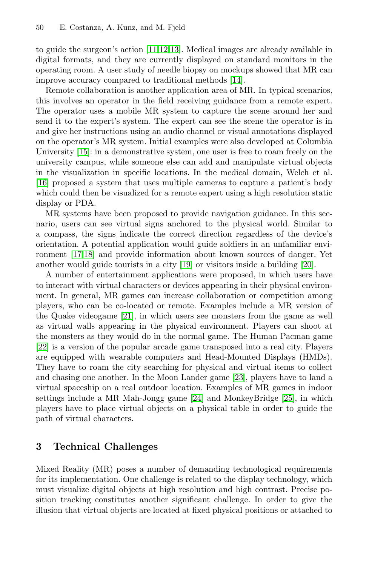to guide the surgeon's action [11,12,13]. Medical images are already available in digital formats, and they are currently displayed on standard monitors in the operating room. A user study of needle biopsy on mockups showed that MR can improve accuracy compared to traditional methods [14].

Remote collaboration is another application area of MR. In typical scenarios, this involves an operator in the field receiving guidance from a remote expert. The operator uses a mobile MR system to capture the scene around her and send it to the expert's system. The expert can see the scene the operator is in and give her instructions using an audio channel or visual annotations displayed on the operator's MR system. Initial examples were also developed at Columbia University [15]: in a demonstrative system, one user is free to roam freely on the university campus, while someone else can add and manipulate virtual objects in the visualization in specific locations. In the medical domain, Welch et al. [16] proposed a sys[tem](#page-18-1) that uses multiple cameras [to c](#page-18-2)apture a patient's body which could then be visualized for a remote expert using a high resolution static display or PDA.

MR systems have been proposed to provide navigation guidance. In this scenario, users can see virtual signs anchored to the physical world. Similar to a c[omp](#page-18-3)ass, the signs indicate the correct direction regardless of the device's orientation. A potential application would guide soldiers in an unfamiliar environment [17,18] and provide information about known sources of danger. Yet another would guide tourists in a city [19] or visitors inside a building [20].

A number of entertainment applications were proposed, in which users have to interact with virtual characters or devices appearing in their physical environment. In general, MR games can [inc](#page-18-4)rease collaboration or competition among players, who can be co-located or remote. Examples include a MR version of the Quake videogame [\[21\]](#page-18-5), in which users see [mo](#page-19-0)nsters from the game as well as virtual walls appearing in the physical environment. Players can shoot at the monsters as they would do in the normal game. The Human Pacman game [22] is a version of the popular arcade game transposed into a real city. Players are equipped with wearable computers and Head-Mounted Displays (HMDs). They have to roam the city searching for physical and virtual items to collect and chasing one another. In the Moon Lander game [23], players have to land a virtual spaceship on a real outdoor location. Examples of MR games in indoor settings include a MR Mah-Jongg game [24] and MonkeyBridge [25], in which players have to place virtual objects on a physical table in order to guide the path of virtual characters.

### **3 Technical Challenges**

Mixed Reality (MR) poses a number of demanding technological requirements for its implementation. One challenge is related to the display technology, which must visualize digital objects at high resolution and high contrast. Precise position tracking constitutes another significant challenge. In order to give the illusion that virtual objects are located at fixed physical positions or attached to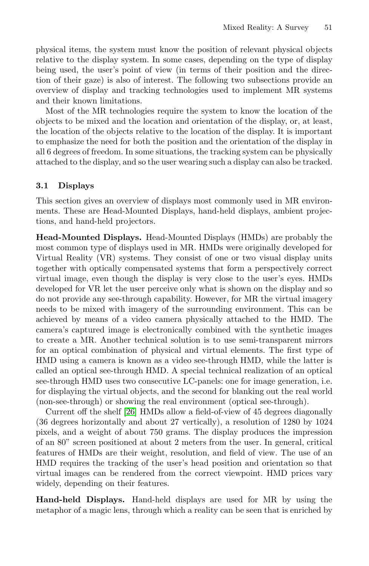physical items, the system must know the position of relevant physical objects relative to the display system. In some cases, depending on the type of display being used, the user's point of view (in terms of their position and the direction of their gaze) is also of interest. The following two subsections provide an overview of display and tracking technologies used to implement MR systems and their known limitations.

Most of the MR technologies require the system to know the location of the objects to be mixed and the location and orientation of the display, or, at least, the location of the objects relative to the location of the display. It is important to emphasize the need for both the position and the orientation of the display in all 6 degrees of freedom. In some situations, the tracking system can be physically attached to the display, and so the user wearing such a display can also be tracked.

### **3.1 Displays**

This section gives an overview of displays most commonly used in MR environments. These are Head-Mounted Displays, hand-held displays, ambient projections, and hand-held projectors.

**Head-Mounted Displays.** Head-Mounted Displays (HMDs) are probably the most common type of displays used in MR. HMDs were originally developed for Virtual Reality (VR) systems. They consist of one or two visual display units together with optically compensated systems that form a perspectively correct virtual image, even though the display is very close to the user's eyes. HMDs developed for VR let the user perceive only what is shown on the display and so do not provide any see-through capability. However, for MR the virtual imagery needs to be mixed with imagery of the surrounding environment. This can be achieved by means of a video camera physically attached to the HMD. The cam[era'](#page-19-1)s captured image is electronically combined with the synthetic images to create a MR. Another technical solution is to use semi-transparent mirrors for an optical combination of physical and virtual elements. The first type of HMD using a camera is known as a video see-through HMD, while the latter is called an optical see-through HMD. A special technical realization of an optical see-through HMD uses two consecutive LC-panels: one for image generation, i.e. for displaying the virtual objects, and the second for blanking out the real world (non-see-through) or showing the real environment (optical see-through).

Current off the shelf [26] HMDs allow a field-of-view of 45 degrees diagonally (36 degrees horizontally and about 27 vertically), a resolution of 1280 by 1024 pixels, and a weight of about 750 grams. The display produces the impression of an 80" screen positioned at about 2 meters from the user. In general, critical features of HMDs are their weight, resolution, and field of view. The use of an HMD requires the tracking of the user's head position and orientation so that virtual images can be rendered from the correct viewpoint. HMD prices vary widely, depending on their features.

**Hand-held Displays.** Hand-held displays are used for MR by using the metaphor of a magic lens, through which a reality can be seen that is enriched by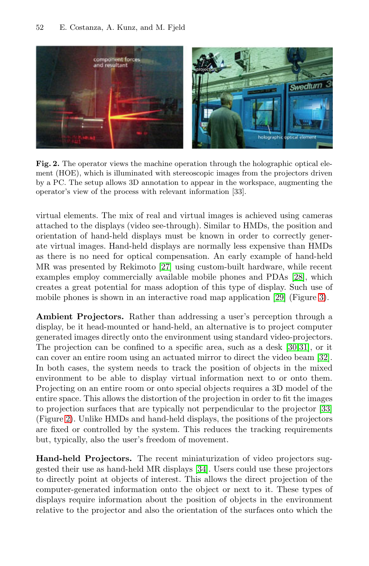

**Fig. 2.** The operator views the machine operation through the holographic optical element (HOE), which is illuminated with stereoscopic images from the projectors driven by a PC. The setup allows 3D annotation to appear in the workspace, augmenting the operator's view [of](#page-19-2) the process with relevant informati[on](#page-19-3) [\[](#page-19-3)33].

virtual elements. The mix of real and virtua[l im](#page-19-4)ages is [ach](#page-8-0)ieved using cameras attached to the displays (video see-through). Similar to HMDs, the position and orientation of hand-held displays must be known in order to correctly generate virtual images. Hand-held displays are normally less expensive than HMDs as there is no need for optical compensation. An early example of hand-held MR was presented by Rekimoto [27] using cust[om-](#page-19-5)[bui](#page-19-6)lt hardware, while recent examples employ commercially available mobile phones [an](#page-19-7)d PDAs [28], which creates a great potential for mass adoption of this type of display. Such use of mobile phones is shown in an interactive road map application [29] (Figure 3).

**Ambient Projectors.** Rather than addressing a user's perception through a display, be it head-mounted or hand-held, an alternative [is t](#page-19-8)o project computer generated images directly onto the environment using standard video-projectors. The projection can be confined to a specific area, such as a desk [30,31], or it can cover an entire room using an actuated mirror to direct the video beam [32]. In both cases, the system needs to track the position of objects in the mixed environment to be able to display virtual information next to or onto them. Projecting on an entire [roo](#page-19-9)m or onto special objects requires a 3D model of the entire space. This allows the distortion of the projection in order to fit the images to projection surfaces that are typically not perpendicular to the projector [33] (Figure 2). Unlike HMDs and hand-held displays, the positions of the projectors are fixed or controlled by the system. This reduces the tracking requirements but, typically, also the user's freedom of movement.

**Hand-held Projectors.** The recent miniaturization of video projectors suggested their use as hand-held MR displays [34]. Users could use these projectors to directly point at objects of interest. This allows the direct projection of the computer-generated information onto the object or next to it. These types of displays require information about the position of objects in the environment relative to the projector and also the orientation of the surfaces onto which the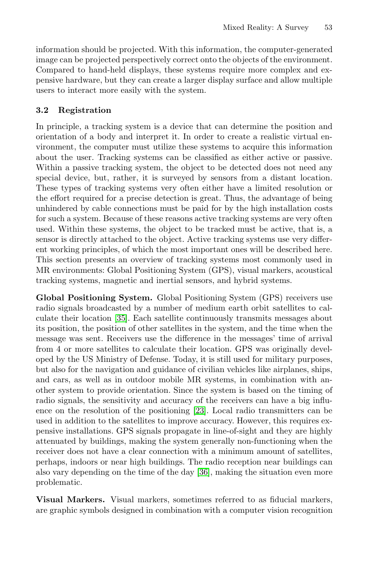information should be projected. With this information, the computer-generated image can be projected perspectively correct onto the objects of the environment. Compared to hand-held displays, these systems require more complex and expensive hardware, but they can create a larger display surface and allow multiple users to interact more easily with the system.

### **3.2 Registration**

In principle, a tracking system is a device that can determine the position and orientation of a body and interpret it. In order to create a realistic virtual environment, the computer must utilize these systems to acquire this information about the user. Tracking systems can be classified as either active or passive. Within a passive tracking system, the object to be detected does not need any special device, but, rather, it is surveyed by sensors from a distant location. These types of tracking systems very often either have a limited resolution or the effort required for a precise detection is great. Thus, the advantage of being unhindered by cable connections must be paid for by the high installation costs for such a system. Because of these reasons active tracking systems are very often used. Within these systems, the object to be tracked must be active, that is, a se[nso](#page-19-10)r is directly attached to the object. Active tracking systems use very different working principles, of which the most important ones will be described here. This section presents an overview of tracking systems most commonly used in MR environments: Global Positioning System (GPS), visual markers, acoustical tracking systems, magnetic and inertial sensors, and hybrid systems.

**Global Positioning System.** Global Positioning System (GPS) receivers use radio signals broadcasted by a number of medium earth orbit satellites to calculate their location [35]. Each satellite continuously transmits messages about its position, the positio[n of](#page-18-4) other satellites in the system, and the time when the message was sent. Receivers use the difference in the messages' time of arrival from 4 or more satellites to calculate their location. GPS was originally developed by the US Ministry of Defense. Today, it is still used for military purposes, but also for the navigation and guidance of civilian vehicles like airplanes, ships, and cars, as well as in outdoor mobile MR systems, in combination with another system to provide [ori](#page-19-11)entation. Since the system is based on the timing of radio signals, the sensitivity and accuracy of the receivers can have a big influence on the resolution of the positioning [23]. Local radio transmitters can be used in addition to the satellites to improve accuracy. However, this requires expensive installations. GPS signals propagate in line-of-sight and they are highly attenuated by buildings, making the system generally non-functioning when the receiver does not have a clear connection with a minimum amount of satellites, perhaps, indoors or near high buildings. The radio reception near buildings can also vary depending on the time of the day [36], making the situation even more problematic.

**Visual Markers.** Visual markers, sometimes referred to as fiducial markers, are graphic symbols designed in combination with a computer vision recognition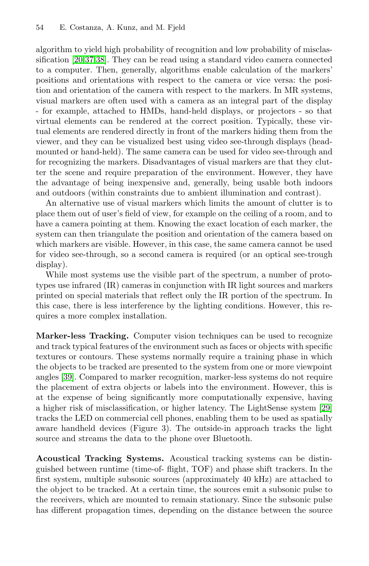algorithm to yield high probability of recognition and low probability of misclassification [20,37,38]. They can be read using a standard video camera connected to a computer. Then, generally, algorithms enable calculation of the markers' positions and orientations with respect to the camera or vice versa: the position and orientation of the camera with respect to the markers. In MR systems, visual markers are often used with a camera as an integral part of the display - for example, attached to HMDs, hand-held displays, or projectors - so that virtual elements can be rendered at the correct position. Typically, these virtual elements are rendered directly in front of the markers hiding them from the viewer, and they can be visualized best using video see-through displays (headmounted or hand-held). The same camera can be used for video see-through and for recognizing the markers. Disadvantages of visual markers are that they clutter the scene and require preparation of the environment. However, they have the advantage of being inexpensive and, generally, being usable both indoors and outdoors (within constraints due to ambient illumination and contrast).

An alternative use of visual markers which limits the amount of clutter is to place them out of user's field of view, for example on the ceiling of a room, and to have a camera pointing at them. Knowing the exact location of each marker, the system can then triangulate the position and orientation of the camera based on which markers are visible. However, in this case, the same camera cannot be used for video see-through, so a second camera is required (or an optical see-trough display).

While most systems use the visible part of the spectrum, a number of prototypes use infrared (IR) cameras in conjunction with IR light sources and markers printed on special materials that reflect only the IR portion of the spectrum. In this case, there is less interference by the lighting conditions. However, this requires a more complex installation.

**Marker-less Tracking.** Computer vision techniques ca[n](#page-19-4) [b](#page-19-4)e used to recognize and track typical features of the environment such as faces or objects with specific textures or contours. These systems normally require a training phase in which the objects to be tracked are presented to the system from one or more viewpoint angles [39]. Compared to marker recognition, marker-less systems do not require the placement of extra objects or labels into the environment. However, this is at the expense of being significantly more computationally expensive, having a higher risk of misclassification, or higher latency. The LightSense system [29] tracks the LED on commercial cell phones, enabling them to be used as spatially aware handheld devices (Figure 3). The outside-in approach tracks the light source and streams the data to the phone over Bluetooth.

**Acoustical Tracking Systems.** Acoustical tracking systems can be distinguished between runtime (time-of- flight, TOF) and phase shift trackers. In the first system, multiple subsonic sources (approximately 40 kHz) are attached to the object to be tracked. At a certain time, the sources emit a subsonic pulse to the receivers, which are mounted to remain stationary. Since the subsonic pulse has different propagation times, depending on the distance between the source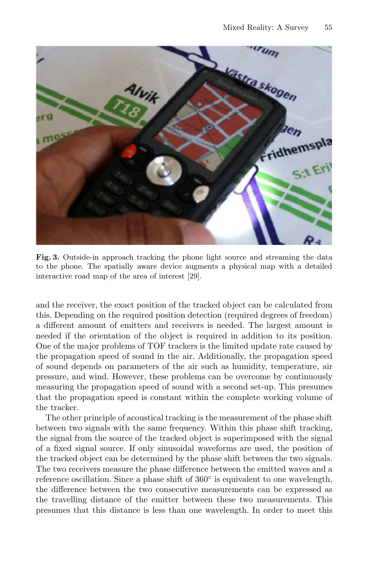

**Fig. 3.** Outside-in approach tracking the phone light source and streaming the data to the phone. The spatially aware device augments a physical map with a detailed interactive road map of the area of interest [29].

<span id="page-8-0"></span>and the receiver, the exact position of the tracked object can be calculated from this. Depending on the required position detection (required degrees of freedom) a different amount of emitters and receivers is needed. The largest amount is needed if the orientation of the object is required in addition to its position. One of the major problems of TOF trackers is the limited update rate caused by the propagation speed of sound in the air. Additionally, the propagation speed of sound depends on parameters of the air such as humidity, temperature, air pressure, and wind. However, these problems can be overcome by continuously measuring the propagation speed of sound with a second set-up. This presumes that the propagation speed is constant within the complete working volume of the tracker.

The other principle of acoustical tracking is the measurement of the phase shift between two signals with the same frequency. Within this phase shift tracking, the signal from the source of the tracked object is superimposed with the signal of a fixed signal source. If only sinusoidal waveforms are used, the position of the tracked object can be determined by the phase shift between the two signals. The two receivers measure the phase difference between the emitted waves and a reference oscillation. Since a phase shift of  $360°$  is equivalent to one wavelength, the difference between the two consecutive measurements can be expressed as the travelling distance of the emitter between these two measurements. This presumes that this distance is less than one wavelength. In order to meet this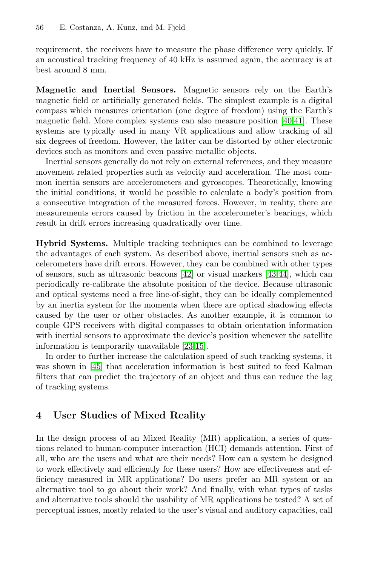requirement, the receivers have to measure the phase difference very quickly. If an acoustical tracking frequency of 40 kHz is assumed again, the accuracy is at best around 8 mm.

**Magnetic and Inertial Sensors.** Magnetic sensors rely on the Earth's magnetic field or artificially generated fields. The simplest example is a digital compass which measures orientation (one degree of freedom) using the Earth's magnetic field. More complex systems can also measure position [40,41]. These systems are typically used in many VR applications and allow tracking of all six degrees of freedom. However, the latter can be distorted by other electronic devices such as monitors and even passive metallic objects.

Inertial sensors generally do not rely on external references, and they measure movement related properties such as velocity and acceleration. The most common inertia sensors are accelerometers and gyroscopes. Theoretically, knowing the initial conditio[ns, i](#page-19-12)t would be possibl[e to](#page-20-0) [ca](#page-20-1)lculate a body's position from a consecutive integration of the measured forces. However, in reality, there are measurements errors caused by friction in the accelerometer's bearings, which result in drift errors increasing quadratically over time.

**Hybrid Systems.** Multiple tracking techniques can be combined to leverage the advantages of each system. As described above, inertial sensors such as accelerometers have dr[ift](#page-18-4) [erro](#page-18-6)rs. However, they can be combined with other types of sensors, such as ultrasonic beacons  $[42]$  or visual markers  $[43,44]$ , which can periodically re-calibrate the absolute position of the device. Because ultrasonic and optical systems need a free line-of-sight, they can be ideally complemented by an inertia system for the moments when there are optical shadowing effects caused by the user or other obstacles. As another example, it is common to couple GPS receivers with digital compasses to obtain orientation information with inertial sensors to approximate the device's position whenever the satellite information is temporarily unavailable [23,15].

In order to further increase the calculation speed of such tracking systems, it was shown in [45] that acceleration information is best suited to feed Kalman filters that can predict the trajectory of an object and thus can reduce the lag of tracking systems.

# **4 User Studies of Mixed Reality**

In the design process of an Mixed Reality (MR) application, a series of questions related to human-computer interaction (HCI) demands attention. First of all, who are the users and what are their needs? How can a system be designed to work effectively and efficiently for these users? How are effectiveness and efficiency measured in MR applications? Do users prefer an MR system or an alternative tool to go about their work? And finally, with what types of tasks and alternative tools should the usability of MR applications be tested? A set of perceptual issues, mostly related to the user's visual and auditory capacities, call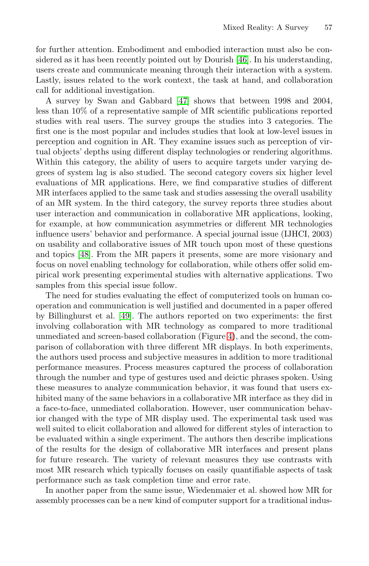for further attention. Embodiment and embodied interaction must also be considered as it has been recently pointed out by Dourish [46]. In his understanding, users create and communicate meaning through their interaction with a system. Lastly, issues related to the work context, the task at hand, and collaboration call for additional investigation.

A survey by Swan and Gabbard [47] shows that between 1998 and 2004, less than 10% of a representative sample of MR scientific publications reported studies with real users. The survey groups the studies into 3 categories. The first one is the most popular and includes studies that look at low-level issues in perception and cognition in AR. They examine issues such as perception of virtual objects' depths using different display technologies or rendering algorithms. Within this category, the ability of users to acquire targets under varying degrees of system lag is also studied. The second category covers six higher level evaluations of MR applications. Here, we find comparative studies of different MR interfaces applied to the same task and studies assessing the overall usability of an MR system. In the third category, the survey reports three studies about user interaction and communication in collaborative MR applications, looking, for example, at how communication asymmetries or different MR technologies infl[uen](#page-20-2)ce users' behavior and performance. A special journal issue (IJHCI, 2003) on usability and collaborative issues of MR touch upon most of these questions and topics [48]. From the MR p[ap](#page-11-0)ers it presents, some are more visionary and focus on novel enabling technology for collaboration, while others offer solid empirical work presenting experimental studies with alternative applications. Two samples from this special issue follow.

The need for studies evaluating the effect of computerized tools on human cooperation and communication is well justified and documented in a paper offered by Billinghurst et al. [49]. The authors reported on two experiments: the first involving collaboration with MR technology as compared to more traditional unmediated and screen-based collaboration (Figure 4), and the second, the comparison of collaboration with three different MR displays. In both experiments, the authors used process and subjective measures in addition to more traditional performance measures. Process measures captured the process of collaboration through the number and type of gestures used and deictic phrases spoken. Using these measures to analyze communication behavior, it was found that users exhibited many of the same behaviors in a collaborative MR interface as they did in a face-to-face, unmediated collaboration. However, user communication behavior changed with the type of MR display used. The experimental task used was well suited to elicit collaboration and allowed for different styles of interaction to be evaluated within a single experiment. The authors then describe implications of the results for the design of collaborative MR interfaces and present plans for future research. The variety of relevant measures they use contrasts with most MR research which typically focuses on easily quantifiable aspects of task performance such as task completion time and error rate.

In another paper from the same issue, Wiedenmaier et al. showed how MR for assembly processes can be a new kind of computer support for a traditional indus-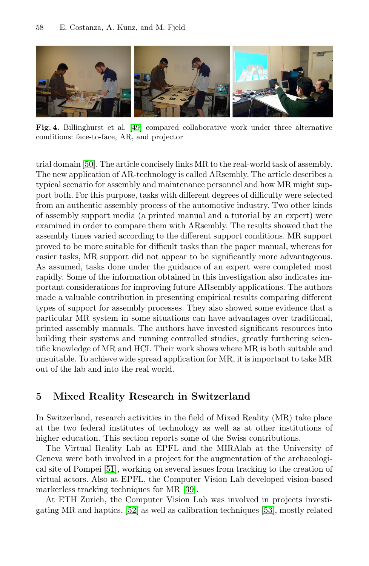<span id="page-11-0"></span>

**Fig. 4.** Billinghurst et al. [49] compared collaborative work under three alternative conditions: face-to-face, AR, and projector

trial domain [50]. The article concisely links MR to the real-world task of assembly. The new application of AR-technology is called ARsembly. The article describes a typical scenario for assembly and maintenance personnel and how MR might support both. For this purpose, tasks with different degrees of difficulty were selected from an authentic assembly process of the automotive industry. Two other kinds of assembly support media (a printed manual and a tutorial by an expert) were examined in order to compare them with ARsembly. The results showed that the assembly times varied according to the different support conditions. MR support proved to be more suitable for difficult tasks than the paper manual, whereas for easier tasks, MR support did not appear to be significantly more advantageous. As assumed, tasks done under the guidance of an expert were completed most rapidly. Some of the information obtained in this investigation also indicates important considerations for improving future ARsembly applications. The authors made a valuable contribution in presenting empirical results comparing different types of support for assembly processes. They also showed some evidence that a particular MR system in some situations can have advantages over traditional, printed assembly manuals. The authors have invested significant resources into building their systems and running controlled studies, greatly furthering scientific knowledge of MR and HCI. Their work shows where MR is both suitable and unsuitable. To achieve wide spread application for MR, it is important to take MR out of the lab and into the real world.

# **[5](#page-20-3) Mixed Reality Research in Switzerland**

In Switzerland, rese[arch](#page-19-13) activities in the field of Mixed Reality (MR) take place at th[e tw](#page-20-4)o federal institutes of technolo[gy a](#page-20-5)s well as at other institutions of higher education. This section reports some of the Swiss contributions.

The Virtual Reality Lab at EPFL and the MIRAlab at the University of Geneva were both involved in a project for the augmentation of the archaeological site of Pompei [51], working on several issues from tracking to the creation of virtual actors. Also at EPFL, the Computer Vision Lab developed vision-based markerless tracking techniques for MR [39].

At ETH Zurich, the Computer Vision Lab was involved in projects investigating MR and haptics, [52] as well as calibration techniques [53], mostly related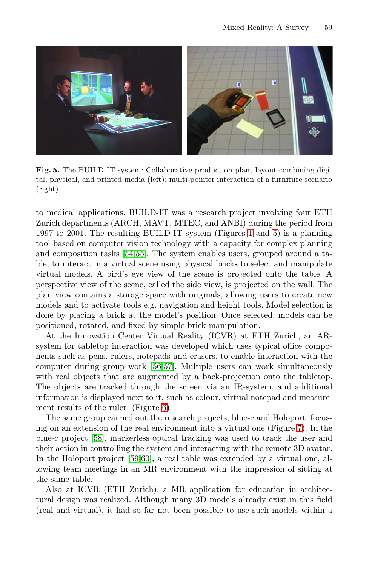

**Fig. 5.** [The](#page-20-7) BUILD-IT system: Collaborative production plant layout combining digital, [phys](#page-20-6)ical, and printed media (left); multi-pointer interaction of a furniture scenario (right)

to medical applications. BUILD-IT was a research project involving four ETH Zurich departments (ARCH, MAVT, MTEC, and ANBI) during the period from 1997 to 2001. The resulting BUILD-IT system (Figures 1 and 5) is a planning tool based on computer vision technology with a capacity for complex planning and composition tasks [54,55]. The system enables users, grouped around a table, to interact in a virtual scene using physical bricks to select and manipulate virtual models. A bird's eye view of the scene is projected onto the table. A perspective [vie](#page-20-8)[w o](#page-20-9)f the scene, called the side view, is projected on the wall. The plan view contains a storage space with originals, allowing users to create new models and to activate tools e.g. navigation and height tools. Model selection is done by placing a brick at the model's position. Once selected, models can be positioned, rot[at](#page-13-0)ed, and fixed by simple brick manipulation.

At the Innovation Center Virtual Reality (ICVR) at ETH Zurich, an ARsystem for tabletop interaction was developed whi[ch](#page-13-1) uses typical office components such as pens, rulers, notepads and erasers. to enable interaction with the computer during group work [56,57]. Multiple users can work simultaneously with [real](#page-20-10) [ob](#page-21-1)jects that are augmented by a back-projection onto the tabletop. The objects are tracked through the screen via an IR-system, and additional information is displayed next to it, such as colour, virtual notepad and measurement results of the ruler. (Figure 6).

The same group carried out the research projects, blue-c and Holoport, focusing on an extension of the real environment into a virtual one (Figure 7). In the blue-c project [58], markerless optical tracking was used to track the user and their action in controlling the system and interacting with the remote 3D avatar. In the Holoport project [59,60], a real table was extended by a virtual one, allowing team meetings in an MR environment with the impression of sitting at the same table.

Also at ICVR (ETH Zurich), a MR application for education in architectural design was realized. Although many 3D models already exist in this field (real and virtual), it had so far not been possible to use such models within a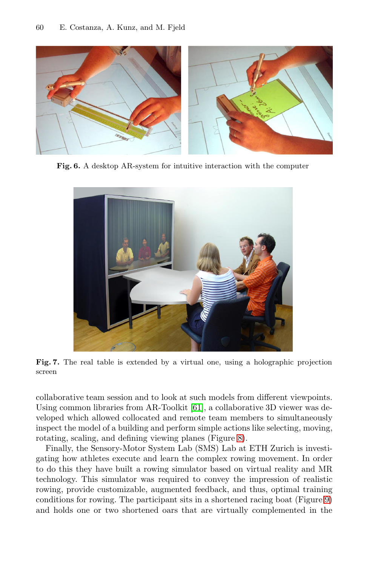<span id="page-13-0"></span>

**Fig. 6.** A desktop AR-system for intuitive interaction with the computer



**Fig. 7.** The real table is extended b[y](#page-14-0) a virtual one, using a holographic projection screen

<span id="page-13-1"></span>collaborative team session and to look at such models from different viewpoints. Using common libraries from AR-Toolkit [61], a collaborative 3D viewer was developed which allowed collocated and remote team memb[er](#page-14-1)s to simultaneously inspect the model of a building and perform simple actions like selecting, moving, rotating, scaling, and defining viewing planes (Figure 8).

Finally, the Sensory-Motor System Lab (SMS) Lab at ETH Zurich is investigating how athletes execute and learn the complex rowing movement. In order to do this they have built a rowing simulator based on virtual reality and MR technology. This simulator was required to convey the impression of realistic rowing, provide customizable, augmented feedback, and thus, optimal training conditions for rowing. The participant sits in a shortened racing boat (Figure 9) and holds one or two shortened oars that are virtually complemented in the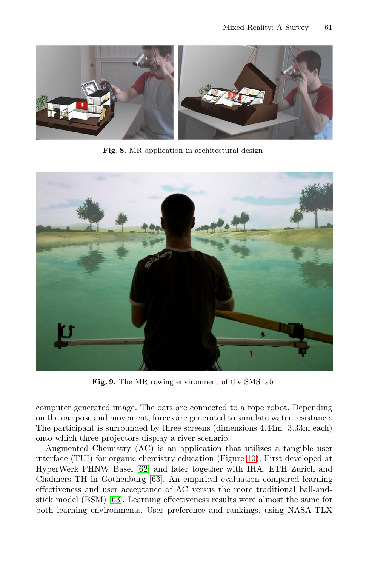<span id="page-14-0"></span>

**Fig. 8.** MR application in architectural design



**Fig. 9.** The MR rowing [env](#page-15-0)ironment of the SMS lab

<span id="page-14-1"></span>computer g[ene](#page-21-2)rated image. The oars are connected to a rope robot. Depending [on t](#page-21-2)he oar pose and movement, forces are generated to simulate water resistance. The participant is surrounded by three screens (dimensions 4.44m 3.33m each) onto which three projectors display a river scenario.

Augmented Chemistry (AC) is an application that utilizes a tangible user interface (TUI) for organic chemistry education (Figure 10). First developed at HyperWerk FHNW Basel [62] and later together with IHA, ETH Zurich and Chalmers TH in Gothenburg [63]. An empirical evaluation compared learning effectiveness and user acceptance of AC versus the more traditional ball-andstick model (BSM) [63]. Learning effectiveness results were almost the same for both learning environments. User preference and rankings, using NASA-TLX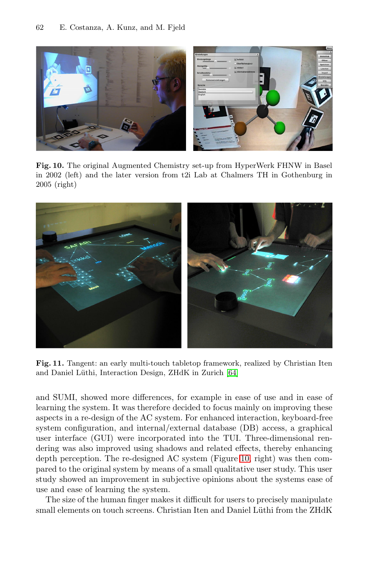<span id="page-15-0"></span>

**Fig. 10.** The original Augmented Chemistry set-up from HyperWerk FHNW in Basel in 2002 (left) and the later version from t2i Lab at Chalmers TH in Gothenburg in 2005 (right)



**Fig. 11.** Tangent: an early multi-touch tabletop framework, realized by Christian Iten and Daniel Lüthi, Interaction Design, [ZHd](#page-15-0)K in Zurich [64]

and SUMI, showed more differences, for example in ease of use and in ease of learning the system. It was therefore decided to focus mainly on improving these aspects in a re-design of the AC system. For enhanced interaction, keyboard-free system configuration, and internal/external database (DB) access, a graphical user interface (GUI) were incorporated into the TUI. Three-dimensional rendering was also improved using shadows and related effects, thereby enhancing depth perception. The re-designed AC system (Figure 10, right) was then compared to the original system by means of a small qualitative user study. This user study showed an improvement in subjective opinions about the systems ease of use and ease of learning the system.

The size of the human finger makes it difficult for users to precisely manipulate small elements on touch screens. Christian Iten and Daniel Lüthi from the ZHdK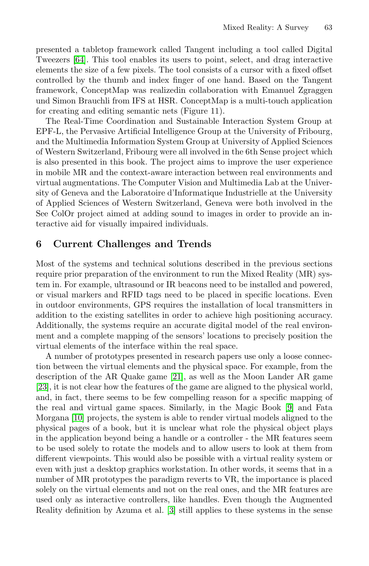presented a tabletop framework called Tangent including a tool called Digital Tweezers [64]. This tool enables its users to point, select, and drag interactive elements the size of a few pixels. The tool consists of a cursor with a fixed offset controlled by the thumb and index finger of one hand. Based on the Tangent framework, ConceptMap was realizedin collaboration with Emanuel Zgraggen und Simon Brauchli from IFS at HSR. ConceptMap is a multi-touch application for creating and editing semantic nets (Figure 11).

The Real-Time Coordination and Sustainable Interaction System Group at EPF-L, the Pervasive Artificial Intelligence Group at the University of Fribourg, and the Multimedia Information System Group at University of Applied Sciences of Western Switzerland, Fribourg were all involved in the 6th Sense project which is also presented in this book. The project aims to improve the user experience in mobile MR and the context-aware interaction between real environments and virtual augmentations. The Computer Vision and Multimedia Lab at the University of Geneva and the Laboratoire d'Informatique Industrielle at the University of Applied Sciences of Western Switzerland, Geneva were both involved in the See ColOr project aimed at adding sound to images in order to provide an interactive aid for visually impaired individuals.

## **6 Current Challenges and Trends**

Most of the systems and technical solutions described in the previous sections require prior preparation of the environment to run the Mixed Reality (MR) system in. For example, ultrasound or IR beacons need to be installed and powered, or visual marker[s an](#page-18-3)d RFID tags need to be placed in specific locations. Even in outdoor environments, GPS requires the installation of local transmitters in addition to the existing satellites in order to achieve high positioning accuracy. Additionally, the systems require an accurate d[igi](#page-17-6)tal model of the real environment and a complete mapping of the sensors' locations to precisely position the virtual elements of the interface within the real space.

A number of prototypes presented in research papers use only a loose connection between the virtual elements and the physical space. For example, from the description of the AR Quake game [21], as well as the Moon Lander AR game [23], it is not clear how the features of the game are aligned to the physical world, and, in fact, there seems to be few compelling reason for a specific mapping of the real and virtual game spaces. Similarly, in the Magic Book [9] and Fata Morgana [10] projects, the system is able to render virtual models aligned to the physical pages o[f a](#page-17-0) book, but it is unclear what role the physical object plays in the application beyond being a handle or a controller - the MR features seem to be used solely to rotate the models and to allow users to look at them from different viewpoints. This would also be possible with a virtual reality system or even with just a desktop graphics workstation. In other words, it seems that in a number of MR prototypes the paradigm reverts to VR, the importance is placed solely on the virtual elements and not on the real ones, and the MR features are used only as interactive controllers, like handles. Even though the Augmented Reality definition by Azuma et al. [3] still applies to these systems in the sense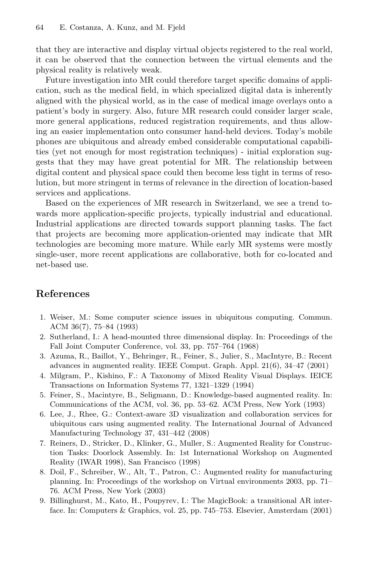that they are interactive and display virtual objects registered to the real world, it can be observed that the connection between the virtual elements and the physical reality is relatively weak.

Future investigation into MR could therefore target specific domains of application, such as the medical field, in which specialized digital data is inherently aligned with the physical world, as in the case of medical image overlays onto a patient's body in surgery. Also, future MR research could consider larger scale, more general applications, reduced registration requirements, and thus allowing an easier implementation onto consumer hand-held devices. Today's mobile phones are ubiquitous and already embed considerable computational capabilities (yet not enough for most registration techniques) - initial exploration suggests that they may have great potential for MR. The relationship between digital content and physical space could then become less tight in terms of resolution, but more stringent in terms of relevance in the direction of location-based services and applications.

Based on the experiences of MR research in Switzerland, we see a trend towards more application-specific projects, typically industrial and educational. Industrial applications are directed towards support planning tasks. The fact that projects are becoming more application-oriented may indicate that MR technologies are becoming more mature. While early MR systems were mostly single-user, more recent applications are collaborative, both for co-located and net-based use.

# **References**

- 1. Weiser, M.: Some computer science issues in ubiquitous computing. Commun. ACM 36(7), 75–84 (1993)
- 2. Sutherland, I.: A head-mounted three dimensional display. In: Proceedings of the Fall Joint Computer Conference, vol. 33, pp. 757–764 (1968)
- <span id="page-17-0"></span>3. Azuma, R., Baillot, Y., Behringer, R., Feiner, S., Julier, S., MacIntyre, B.: Recent advances in augmented reality. IEEE Comput. Graph. Appl. 21(6), 34–47 (2001)
- <span id="page-17-1"></span>4. Milgram, P., Kishino, F.: A Taxonomy of Mixed Reality Visual Displays. IEICE Transactions on Information Systems 77, 1321–1329 (1994)
- <span id="page-17-2"></span>5. Feiner, S., Macintyre, B., Seligmann, D.: Knowledge-based augmented reality. In: Communications of the ACM, vol. 36, pp. 53–62. ACM Press, New York (1993)
- <span id="page-17-3"></span>6. Lee, J., Rhee, G.: Context-aware 3D visualization and collaboration services for ubiquitous cars using augmented reality. The International Journal of Advanced Manufacturing Technology 37, 431–442 (2008)
- <span id="page-17-4"></span>7. Reiners, D., Stricker, D., Klinker, G., Muller, S.: Augmented Reality for Construction Tasks: Doorlock Assembly. In: 1st International Workshop on Augmented Reality (IWAR 1998), San Francisco (1998)
- <span id="page-17-5"></span>8. Doil, F., Schreiber, W., Alt, T., Patron, C.: Augmented reality for manufacturing planning. In: Proceedings of the workshop on Virtual environments 2003, pp. 71– 76. ACM Press, New York (2003)
- <span id="page-17-6"></span>9. Billinghurst, M., Kato, H., Poupyrev, I.: The MagicBook: a transitional AR interface. In: Computers & Graphics, vol. 25, pp. 745–753. Elsevier, Amsterdam (2001)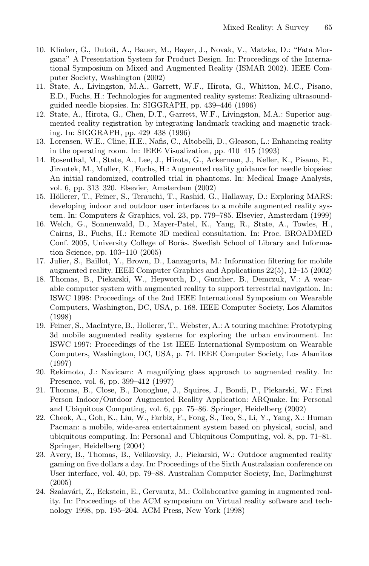- <span id="page-18-0"></span>10. Klinker, G., Dutoit, A., Bauer, M., Bayer, J., Novak, V., Matzke, D.: "Fata Morgana" A Presentation System for Product Design. In: Proceedings of the International Symposium on Mixed and Augmented Reality (ISMAR 2002). IEEE Computer Society, Washington (2002)
- 11. State, A., Livingston, M.A., Garrett, W.F., Hirota, G., Whitton, M.C., Pisano, E.D., Fuchs, H.: Technologies for augmented reality systems: Realizing ultrasoundguided needle biopsies. In: SIGGRAPH, pp. 439–446 (1996)
- 12. State, A., Hirota, G., Chen, D.T., Garrett, W.F., Livingston, M.A.: Superior augmented reality registration by integrating landmark tracking and magnetic tracking. In: SIGGRAPH, pp. 429–438 (1996)
- 13. Lorensen, W.E., Cline, H.E., Nafis, C., Altobelli, D., Gleason, L.: Enhancing reality in the operating room. In: IEEE Visualization, pp. 410–415 (1993)
- 14. Rosenthal, M., State, A., Lee, J., Hirota, G., Ackerman, J., Keller, K., Pisano, E., Jiroutek, M., Muller, K., Fuchs, H.: Augmented reality guidance for needle biopsies: An initial randomized, controlled trial in phantoms. In: Medical Image Analysis, vol. 6, pp. 313–320. Elsevier, Amsterdam (2002)
- <span id="page-18-6"></span>15. Höllerer, T., Feiner, S., Terauchi, T., Rashid, G., Hallaway, D.: Exploring MARS: developing indoor and outdoor user interfaces to a mobile augmented reality system. In: Computers & Graphics, vol. 23, pp. 779–785. Elsevier, Amsterdam (1999)
- 16. Welch, G., Sonnenwald, D., Mayer-Patel, K., Yang, R., State, A., Towles, H., Cairns, B., Fuchs, H.: Remote 3D medical consultation. In: Proc. BROADMED Conf. 2005, University College of Borås. Swedish School of Library and Information Science, pp. 103–110 (2005)
- 17. Julier, S., Baillot, Y., Brown, D., Lanzagorta, M.: Information filtering for mobile augmented reality. IEEE Computer Graphics and Applications 22(5), 12–15 (2002)
- 18. Thomas, B., Piekarski, W., Hepworth, D., Gunther, B., Demczuk, V.: A wearable computer system with augmented reality to support terrestrial navigation. In: ISWC 1998: Proceedings of the 2nd IEEE International Symposium on Wearable Computers, Washington, DC, USA, p. 168. IEEE Computer Society, Los Alamitos (1998)
- <span id="page-18-1"></span>19. Feiner, S., MacIntyre, B., Hollerer, T., Webster, A.: A touring machine: Prototyping 3d mobile augmented reality systems for exploring the urban environment. In: ISWC 1997: Proceedings of the 1st IEEE International Symposium on Wearable Computers, Washington, DC, USA, p. 74. IEEE Computer Society, Los Alamitos (1997)
- <span id="page-18-2"></span>20. Rekimoto, J.: Navicam: A magnifying glass approach to augmented reality. In: Presence, vol. 6, pp. 399–412 (1997)
- <span id="page-18-3"></span>21. Thomas, B., Close, B., Donoghue, J., Squires, J., Bondi, P., Piekarski, W.: First Person Indoor/Outdoor Augmented Reality Application: ARQuake. In: Personal and Ubiquitous Computing, vol. 6, pp. 75–86. Springer, Heidelberg (2002)
- 22. Cheok, A., Goh, K., Liu, W., Farbiz, F., Fong, S., Teo, S., Li, Y., Yang, X.: Human Pacman: a mobile, wide-area entertainment system based on physical, social, and ubiquitous computing. In: Personal and Ubiquitous Computing, vol. 8, pp. 71–81. Springer, Heidelberg (2004)
- <span id="page-18-4"></span>23. Avery, B., Thomas, B., Velikovsky, J., Piekarski, W.: Outdoor augmented reality gaming on five dollars a day. In: Proceedings of the Sixth Australasian conference on User interface, vol. 40, pp. 79–88. Australian Computer Society, Inc, Darlinghurst (2005)
- <span id="page-18-5"></span>24. Szalavári, Z., Eckstein, E., Gervautz, M.: Collaborative gaming in augmented reality. In: Proceedings of the ACM symposium on Virtual reality software and technology 1998, pp. 195–204. ACM Press, New York (1998)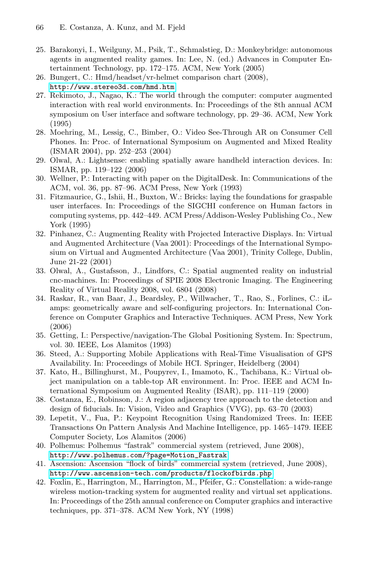- <span id="page-19-3"></span><span id="page-19-2"></span><span id="page-19-1"></span><span id="page-19-0"></span>25. Barakonyi, I., Weilguny, M., Psik, T., Schmalstieg, D.: Monkeybridge: autonomous agents in augmented reality games. In: Lee, N. (ed.) Advances in Computer Entertainment Technology, pp. 172–175. ACM, New York (2005)
- <span id="page-19-4"></span>26. Bungert, C.: Hmd/headset/vr-helmet comparison chart (2008), http://www.stereo3d.com/hmd.htm
- <span id="page-19-6"></span><span id="page-19-5"></span>27. Rekimoto, J., Nagao, K.: The world through the computer: computer augmented interaction with real world environments. In: Proceedings of the 8th annual ACM symposium on User interface and software technology, pp. 29–36. ACM, New York (1995)
- 28. Moehring, M., Lessig, C., Bimber, O.: Video See-Through AR on Consumer Cell Phones. In: Proc. of International Symposium on Augmented and Mixed Reality (ISMAR 2004), pp. 252–253 (2004)
- <span id="page-19-7"></span>29. Olwal, A.: Lightsense: enabling spatially aware handheld interaction devices. In: ISMAR, pp. 119–122 (2006)
- <span id="page-19-8"></span>30. Wellner, P.: Interacting with paper on the DigitalDesk. In: Communications of the ACM, vol. 36, pp. 87–96. ACM Press, New York (1993)
- <span id="page-19-9"></span>31. Fitzmaurice, G., Ishii, H., Buxton, W.: Bricks: laying the foundations for graspable user interfaces. In: Proceedings of the SIGCHI conference on Human factors in computing systems, pp. 442–449. ACM Press/Addison-Wesley Publishing Co., New York (1995)
- <span id="page-19-10"></span>32. Pinhanez, C.: Augmenting Reality with Projected Interactive Displays. In: Virtual and Augmented Architecture (Vaa 2001): Proceedings of the International Symposium on Virtual and Augmented Architecture (Vaa 2001), Trinity College, Dublin, June 21-22 (2001)
- <span id="page-19-11"></span>33. Olwal, A., Gustafsson, J., Lindfors, C.: Spatial augmented reality on industrial cnc-machines. In: Proceedings of SPIE 2008 Electronic Imaging. The Engineering Reality of Virtual Reality 2008, vol. 6804 (2008)
- 34. Raskar, R., van Baar, J., Beardsley, P., Willwacher, T., Rao, S., Forlines, C.: iLamps: geometrically aware and self-configuring projectors. In: International Conference on Computer Graphics and Interactive Techniques. ACM Press, New York (2006)
- <span id="page-19-13"></span>35. Getting, I.: Perspective/navigation-The Global Positioning System. In: Spectrum, vol. 30. IEEE, Los Alamitos (1993)
- 36. Steed, A.: Supporting Mobile Applications with Real-Time Visualisation of GPS Availability. In: Proceedings of Mobile HCI. Springer, Heidelberg (2004)
- [37. Kato, H., Billinghurst, M., Pou](http://www.polhemus.com/?page=Motion_Fastrak)pyrev, I., Imamoto, K., Tachibana, K.: Virtual object manipulation on a table-top AR environment. In: Proc. IEEE and ACM In[ternational Symposium on Augmented Reali](http://www.ascension-tech.com/products/flockofbirds.php)ty (ISAR), pp. 111–119 (2000)
- <span id="page-19-12"></span>38. Costanza, E., Robinson, J.: A region adjacency tree approach to the detection and design of fiducials. In: Vision, Video and Graphics (VVG), pp. 63–70 (2003)
- 39. Lepetit, V., Fua, P.: Keypoint Recognition Using Randomized Trees. In: IEEE Transactions On Pattern Analysis And Machine Intelligence, pp. 1465–1479. IEEE Computer Society, Los Alamitos (2006)
- 40. Polhemus: Polhemus "fastrak" commercial system (retrieved, June 2008), http://www.polhemus.com/?page=Motion\_Fastrak
- 41. Ascension: Ascension "flock of birds" commercial system (retrieved, June 2008), http://www.ascension-tech.com/products/flockofbirds.php
- 42. Foxlin, E., Harrington, M., Harrington, M., Pfeifer, G.: Constellation: a wide-range wireless motion-tracking system for augmented reality and virtual set applications. In: Proceedings of the 25th annual conference on Computer graphics and interactive techniques, pp. 371–378. ACM New York, NY (1998)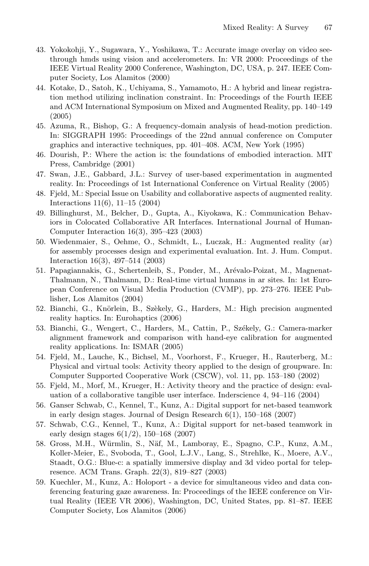- <span id="page-20-0"></span>43. Yokokohji, Y., Sugawara, Y., Yoshikawa, T.: Accurate image overlay on video seethrough hmds using vision and accelerometers. In: VR 2000: Proceedings of the IEEE Virtual Reality 2000 Conference, Washington, DC, USA, p. 247. IEEE Computer Society, Los Alamitos (2000)
- <span id="page-20-1"></span>44. Kotake, D., Satoh, K., Uchiyama, S., Yamamoto, H.: A hybrid and linear registration method utilizing inclination constraint. In: Proceedings of the Fourth IEEE and ACM International Symposium on Mixed and Augmented Reality, pp. 140–149 (2005)
- 45. Azuma, R., Bishop, G.: A frequency-domain analysis of head-motion prediction. In: SIGGRAPH 1995: Proceedings of the 22nd annual conference on Computer graphics and interactive techniques, pp. 401–408. ACM, New York (1995)
- 46. Dourish, P.: Where the action is: the foundations of embodied interaction. MIT Press, Cambridge (2001)
- 47. Swan, J.E., Gabbard, J.L.: Survey of user-based experimentation in augmented reality. In: Proceedings of 1st International Conference on Virtual Reality (2005)
- 48. Fjeld, M.: Special Issue on Usability and collaborative aspects of augmented reality. Interactions 11(6), 11–15 (2004)
- <span id="page-20-2"></span>49. Billinghurst, M., Belcher, D., Gupta, A., Kiyokawa, K.: Communication Behaviors in Colocated Collaborative AR Interfaces. International Journal of Human-Computer Interaction 16(3), 395–423 (2003)
- 50. Wiedenmaier, S., Oehme, O., Schmidt, L., Luczak, H.: Augmented reality (ar) for assembly processes design and experimental evaluation. Int. J. Hum. Comput. Interaction 16(3), 497–514 (2003)
- <span id="page-20-3"></span>51. Papagiannakis, G., Schertenleib, S., Ponder, M., Arévalo-Poizat, M., Magnenat-Thalmann, N., Thalmann, D.: Real-time virtual humans in ar sites. In: 1st European Conference on Visual Media Production (CVMP), pp. 273–276. IEEE Publisher, Los Alamitos (2004)
- <span id="page-20-4"></span>52. Bianchi, G., Knörlein, B., Szèkely, G., Harders, M.: High precision augmented reality haptics. In: Eurohaptics (2006)
- <span id="page-20-5"></span>53. Bianchi, G., Wengert, C., Harders, M., Cattin, P., Székely, G.: Camera-marker alignment framework and comparison with hand-eye calibration for augmented reality applications. In: ISMAR (2005)
- <span id="page-20-6"></span>54. Fjeld, M., Lauche, K., Bichsel, M., Voorhorst, F., Krueger, H., Rauterberg, M.: Physical and virtual tools: Activity theory applied to the design of groupware. In: Computer Supported Cooperative Work (CSCW), vol. 11, pp. 153–180 (2002)
- <span id="page-20-7"></span>55. Fjeld, M., Morf, M., Krueger, H.: Activity theory and the practice of design: evaluation of a collaborative tangible user interface. Inderscience 4, 94–116 (2004)
- <span id="page-20-8"></span>56. Ganser Schwab, C., Kennel, T., Kunz, A.: Digital support for net-based teamwork in early design stages. Journal of Design Research 6(1), 150–168 (2007)
- <span id="page-20-9"></span>57. Schwab, C.G., Kennel, T., Kunz, A.: Digital support for net-based teamwork in early design stages  $6(1/2)$ , 150–168 (2007)
- 58. Gross, M.H., W¨urmlin, S., N¨af, M., Lamboray, E., Spagno, C.P., Kunz, A.M., Koller-Meier, E., Svoboda, T., Gool, L.J.V., Lang, S., Strehlke, K., Moere, A.V., Staadt, O.G.: Blue-c: a spatially immersive display and 3d video portal for telepresence. ACM Trans. Graph. 22(3), 819–827 (2003)
- <span id="page-20-10"></span>59. Kuechler, M., Kunz, A.: Holoport - a device for simultaneous video and data conferencing featuring gaze awareness. In: Proceedings of the IEEE conference on Virtual Reality (IEEE VR 2006), Washington, DC, United States, pp. 81–87. IEEE Computer Society, Los Alamitos (2006)